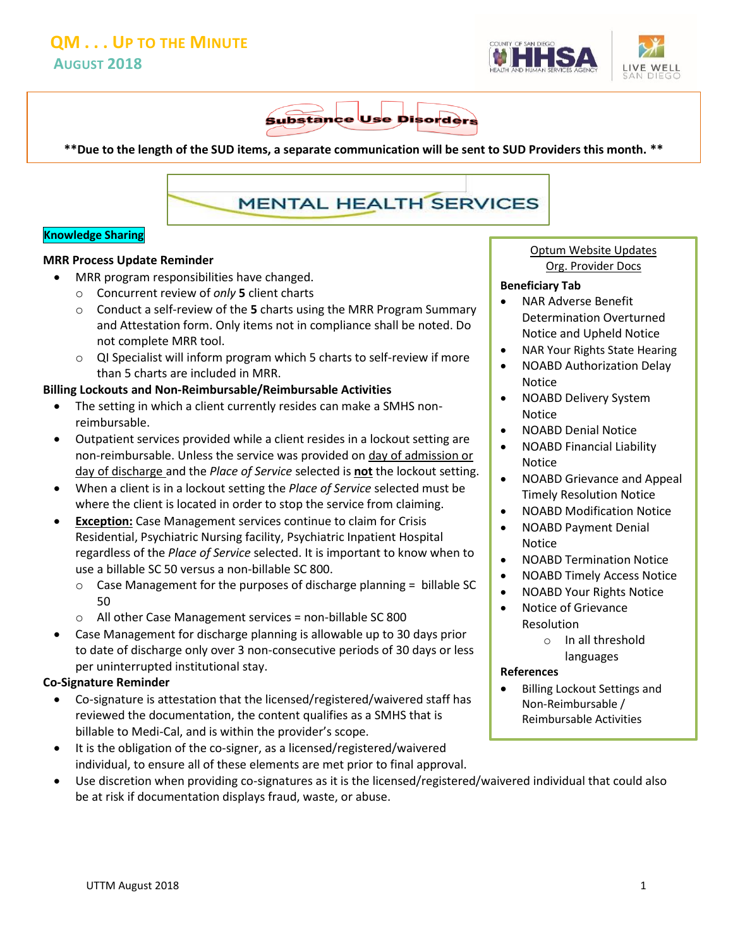



**\*\*Due to the length of the SUD items, a separate communication will be sent to SUD Providers this month. \*\***

# **MENTAL HEALTH SERVICES**

#### **Knowledge Sharing**

#### **MRR Process Update Reminder**

- MRR program responsibilities have changed.
	- o Concurrent review of *only* **5** client charts
	- o Conduct a self-review of the **5** charts using the MRR Program Summary and Attestation form. Only items not in compliance shall be noted. Do not complete MRR tool.
	- o QI Specialist will inform program which 5 charts to self-review if more than 5 charts are included in MRR.

#### **Billing Lockouts and Non-Reimbursable/Reimbursable Activities**

- The setting in which a client currently resides can make a SMHS nonreimbursable.
- Outpatient services provided while a client resides in a lockout setting are non-reimbursable. Unless the service was provided on day of admission or day of discharge and the *Place of Service* selected is **not** the lockout setting.
- When a client is in a lockout setting the *Place of Service* selected must be where the client is located in order to stop the service from claiming.
- **Exception:** Case Management services continue to claim for Crisis Residential, Psychiatric Nursing facility, Psychiatric Inpatient Hospital regardless of the *Place of Service* selected. It is important to know when to use a billable SC 50 versus a non-billable SC 800.
	- o Case Management for the purposes of discharge planning = billable SC 50
	- o All other Case Management services = non-billable SC 800
- Case Management for discharge planning is allowable up to 30 days prior to date of discharge only over 3 non-consecutive periods of 30 days or less per uninterrupted institutional stay.

#### **Co-Signature Reminder**

- Co-signature is attestation that the licensed/registered/waivered staff has reviewed the documentation, the content qualifies as a SMHS that is billable to Medi-Cal, and is within the provider's scope.
- It is the obligation of the co-signer, as a licensed/registered/waivered individual, to ensure all of these elements are met prior to final approval.
- Use discretion when providing co-signatures as it is the licensed/registered/waivered individual that could also be at risk if documentation displays fraud, waste, or abuse.

Optum Website Updates Org. Provider Docs

#### **Beneficiary Tab**

- NAR Adverse Benefit Determination Overturned Notice and Upheld Notice
- NAR Your Rights State Hearing
- NOABD Authorization Delay Notice
- NOABD Delivery System Notice
- NOABD Denial Notice
- NOABD Financial Liability Notice
- NOABD Grievance and Appeal Timely Resolution Notice
- NOABD Modification Notice
- NOABD Payment Denial Notice
- NOABD Termination Notice
- NOABD Timely Access Notice
- NOABD Your Rights Notice
- Notice of Grievance Resolution
	- o In all threshold languages

#### **References**

 Billing Lockout Settings and Non-Reimbursable / Reimbursable Activities